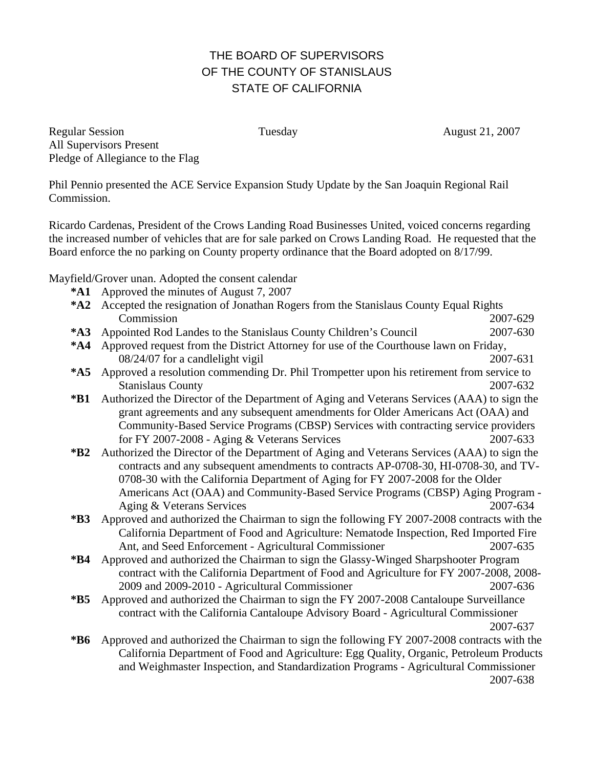## THE BOARD OF SUPERVISORS OF THE COUNTY OF STANISLAUS STATE OF CALIFORNIA

Regular Session Tuesday Tuesday August 21, 2007 All Supervisors Present Pledge of Allegiance to the Flag

Phil Pennio presented the ACE Service Expansion Study Update by the San Joaquin Regional Rail Commission.

Ricardo Cardenas, President of the Crows Landing Road Businesses United, voiced concerns regarding the increased number of vehicles that are for sale parked on Crows Landing Road. He requested that the Board enforce the no parking on County property ordinance that the Board adopted on 8/17/99.

Mayfield/Grover unan. Adopted the consent calendar

- **\*A1** Approved the minutes of August 7, 2007
- **\*A2** Accepted the resignation of Jonathan Rogers from the Stanislaus County Equal Rights Commission 2007-629
- **\*A3** Appointed Rod Landes to the Stanislaus County Children's Council 2007-630
- **\*A4** Approved request from the District Attorney for use of the Courthouse lawn on Friday, 08/24/07 for a candlelight vigil 2007-631
- **\*A5** Approved a resolution commending Dr. Phil Trompetter upon his retirement from service to Stanislaus County 2007-632
- **\*B1** Authorized the Director of the Department of Aging and Veterans Services (AAA) to sign the grant agreements and any subsequent amendments for Older Americans Act (OAA) and Community-Based Service Programs (CBSP) Services with contracting service providers for FY 2007-2008 - Aging & Veterans Services 2007-633
- **\*B2** Authorized the Director of the Department of Aging and Veterans Services (AAA) to sign the contracts and any subsequent amendments to contracts AP-0708-30, HI-0708-30, and TV-0708-30 with the California Department of Aging for FY 2007-2008 for the Older Americans Act (OAA) and Community-Based Service Programs (CBSP) Aging Program - Aging & Veterans Services 2007-634
- **\*B3** Approved and authorized the Chairman to sign the following FY 2007-2008 contracts with the California Department of Food and Agriculture: Nematode Inspection, Red Imported Fire Ant, and Seed Enforcement - Agricultural Commissioner 2007-635
- **\*B4** Approved and authorized the Chairman to sign the Glassy-Winged Sharpshooter Program contract with the California Department of Food and Agriculture for FY 2007-2008, 2008- 2009 and 2009-2010 - Agricultural Commissioner 2007-636
- **\*B5** Approved and authorized the Chairman to sign the FY 2007-2008 Cantaloupe Surveillance contract with the California Cantaloupe Advisory Board - Agricultural Commissioner 2007-637
- **\*B6** Approved and authorized the Chairman to sign the following FY 2007-2008 contracts with the California Department of Food and Agriculture: Egg Quality, Organic, Petroleum Products and Weighmaster Inspection, and Standardization Programs - Agricultural Commissioner 2007-638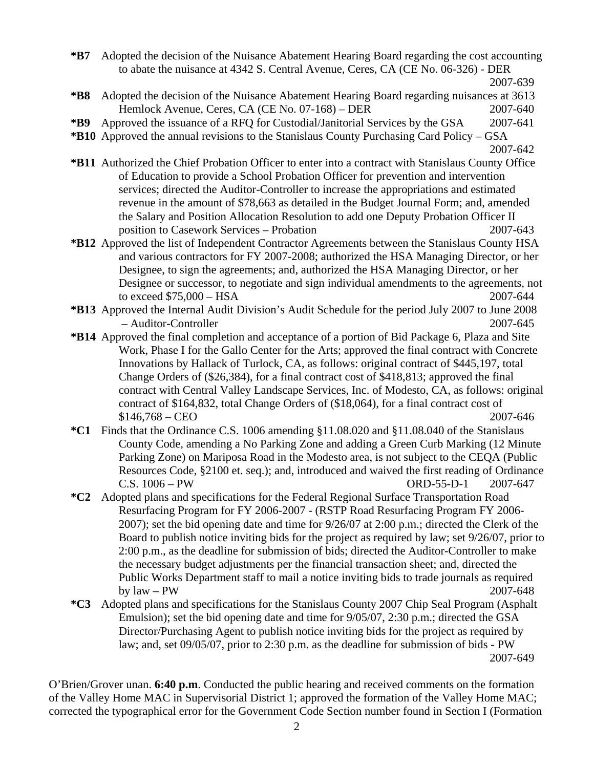**\*B7** Adopted the decision of the Nuisance Abatement Hearing Board regarding the cost accounting to abate the nuisance at 4342 S. Central Avenue, Ceres, CA (CE No. 06-326) - DER 2007-639

- **\*B8** Adopted the decision of the Nuisance Abatement Hearing Board regarding nuisances at 3613 Hemlock Avenue, Ceres, CA (CE No. 07-168) – DER 2007-640
- **\*B9** Approved the issuance of a RFQ for Custodial/Janitorial Services by the GSA 2007-641
- **\*B10** Approved the annual revisions to the Stanislaus County Purchasing Card Policy GSA

- **\*B11** Authorized the Chief Probation Officer to enter into a contract with Stanislaus County Office of Education to provide a School Probation Officer for prevention and intervention services; directed the Auditor-Controller to increase the appropriations and estimated revenue in the amount of \$78,663 as detailed in the Budget Journal Form; and, amended the Salary and Position Allocation Resolution to add one Deputy Probation Officer II position to Casework Services – Probation 2007-643
- **\*B12** Approved the list of Independent Contractor Agreements between the Stanislaus County HSA and various contractors for FY 2007-2008; authorized the HSA Managing Director, or her Designee, to sign the agreements; and, authorized the HSA Managing Director, or her Designee or successor, to negotiate and sign individual amendments to the agreements, not to exceed \$75,000 – HSA 2007-644
- **\*B13** Approved the Internal Audit Division's Audit Schedule for the period July 2007 to June 2008 – Auditor-Controller 2007-645
- **\*B14** Approved the final completion and acceptance of a portion of Bid Package 6, Plaza and Site Work, Phase I for the Gallo Center for the Arts; approved the final contract with Concrete Innovations by Hallack of Turlock, CA, as follows: original contract of \$445,197, total Change Orders of (\$26,384), for a final contract cost of \$418,813; approved the final contract with Central Valley Landscape Services, Inc. of Modesto, CA, as follows: original contract of \$164,832, total Change Orders of (\$18,064), for a final contract cost of \$146,768 – CEO 2007-646
- **\*C1** Finds that the Ordinance C.S. 1006 amending §11.08.020 and §11.08.040 of the Stanislaus County Code, amending a No Parking Zone and adding a Green Curb Marking (12 Minute Parking Zone) on Mariposa Road in the Modesto area, is not subject to the CEQA (Public Resources Code, §2100 et. seq.); and, introduced and waived the first reading of Ordinance C.S. 1006 – PW ORD-55-D-1 2007-647
- **\*C2** Adopted plans and specifications for the Federal Regional Surface Transportation Road Resurfacing Program for FY 2006-2007 - (RSTP Road Resurfacing Program FY 2006- 2007); set the bid opening date and time for 9/26/07 at 2:00 p.m.; directed the Clerk of the Board to publish notice inviting bids for the project as required by law; set 9/26/07, prior to 2:00 p.m., as the deadline for submission of bids; directed the Auditor-Controller to make the necessary budget adjustments per the financial transaction sheet; and, directed the Public Works Department staff to mail a notice inviting bids to trade journals as required by law – PW 2007-648
- **\*C3** Adopted plans and specifications for the Stanislaus County 2007 Chip Seal Program (Asphalt Emulsion); set the bid opening date and time for 9/05/07, 2:30 p.m.; directed the GSA Director/Purchasing Agent to publish notice inviting bids for the project as required by law; and, set 09/05/07, prior to 2:30 p.m. as the deadline for submission of bids - PW 2007-649

O'Brien/Grover unan. **6:40 p.m**. Conducted the public hearing and received comments on the formation of the Valley Home MAC in Supervisorial District 1; approved the formation of the Valley Home MAC; corrected the typographical error for the Government Code Section number found in Section I (Formation

2007-642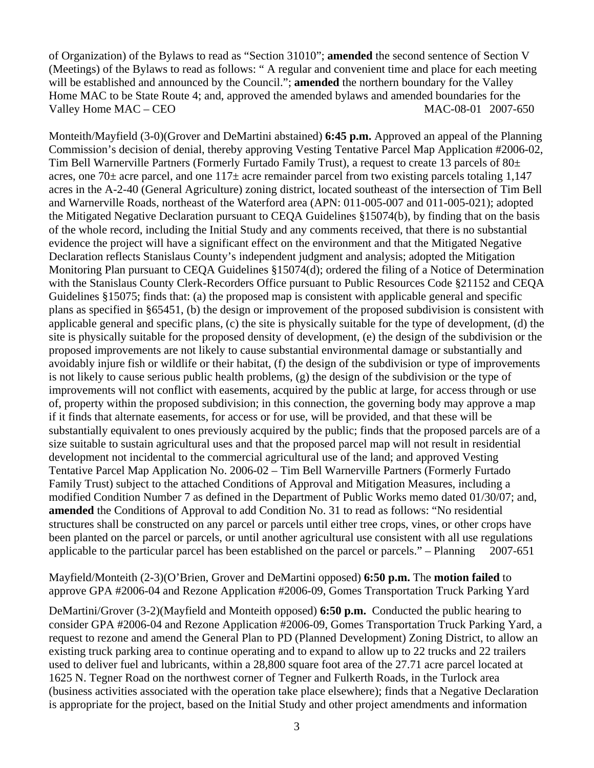of Organization) of the Bylaws to read as "Section 31010"; **amended** the second sentence of Section V (Meetings) of the Bylaws to read as follows: " A regular and convenient time and place for each meeting will be established and announced by the Council."; **amended** the northern boundary for the Valley Home MAC to be State Route 4; and, approved the amended bylaws and amended boundaries for the Valley Home MAC – CEO MAC-08-01 2007-650

Monteith/Mayfield (3-0)(Grover and DeMartini abstained) **6:45 p.m.** Approved an appeal of the Planning Commission's decision of denial, thereby approving Vesting Tentative Parcel Map Application #2006-02, Tim Bell Warnerville Partners (Formerly Furtado Family Trust), a request to create 13 parcels of 80± acres, one 70 $\pm$  acre parcel, and one 117 $\pm$  acre remainder parcel from two existing parcels totaling 1,147 acres in the A-2-40 (General Agriculture) zoning district, located southeast of the intersection of Tim Bell and Warnerville Roads, northeast of the Waterford area (APN: 011-005-007 and 011-005-021); adopted the Mitigated Negative Declaration pursuant to CEQA Guidelines §15074(b), by finding that on the basis of the whole record, including the Initial Study and any comments received, that there is no substantial evidence the project will have a significant effect on the environment and that the Mitigated Negative Declaration reflects Stanislaus County's independent judgment and analysis; adopted the Mitigation Monitoring Plan pursuant to CEQA Guidelines §15074(d); ordered the filing of a Notice of Determination with the Stanislaus County Clerk-Recorders Office pursuant to Public Resources Code §21152 and CEQA Guidelines §15075; finds that: (a) the proposed map is consistent with applicable general and specific plans as specified in §65451, (b) the design or improvement of the proposed subdivision is consistent with applicable general and specific plans, (c) the site is physically suitable for the type of development, (d) the site is physically suitable for the proposed density of development, (e) the design of the subdivision or the proposed improvements are not likely to cause substantial environmental damage or substantially and avoidably injure fish or wildlife or their habitat, (f) the design of the subdivision or type of improvements is not likely to cause serious public health problems, (g) the design of the subdivision or the type of improvements will not conflict with easements, acquired by the public at large, for access through or use of, property within the proposed subdivision; in this connection, the governing body may approve a map if it finds that alternate easements, for access or for use, will be provided, and that these will be substantially equivalent to ones previously acquired by the public; finds that the proposed parcels are of a size suitable to sustain agricultural uses and that the proposed parcel map will not result in residential development not incidental to the commercial agricultural use of the land; and approved Vesting Tentative Parcel Map Application No. 2006-02 – Tim Bell Warnerville Partners (Formerly Furtado Family Trust) subject to the attached Conditions of Approval and Mitigation Measures, including a modified Condition Number 7 as defined in the Department of Public Works memo dated 01/30/07; and, **amended** the Conditions of Approval to add Condition No. 31 to read as follows: "No residential structures shall be constructed on any parcel or parcels until either tree crops, vines, or other crops have been planted on the parcel or parcels, or until another agricultural use consistent with all use regulations applicable to the particular parcel has been established on the parcel or parcels." – Planning 2007-651

Mayfield/Monteith (2-3)(O'Brien, Grover and DeMartini opposed) **6:50 p.m.** The **motion failed** to approve GPA #2006-04 and Rezone Application #2006-09, Gomes Transportation Truck Parking Yard

DeMartini/Grover (3-2)(Mayfield and Monteith opposed) **6:50 p.m.** Conducted the public hearing to consider GPA #2006-04 and Rezone Application #2006-09, Gomes Transportation Truck Parking Yard, a request to rezone and amend the General Plan to PD (Planned Development) Zoning District, to allow an existing truck parking area to continue operating and to expand to allow up to 22 trucks and 22 trailers used to deliver fuel and lubricants, within a 28,800 square foot area of the 27.71 acre parcel located at 1625 N. Tegner Road on the northwest corner of Tegner and Fulkerth Roads, in the Turlock area (business activities associated with the operation take place elsewhere); finds that a Negative Declaration is appropriate for the project, based on the Initial Study and other project amendments and information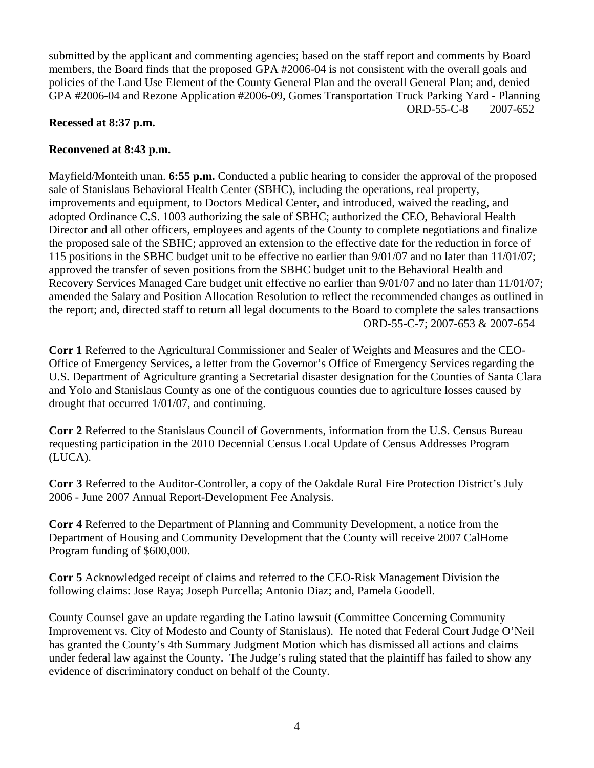submitted by the applicant and commenting agencies; based on the staff report and comments by Board members, the Board finds that the proposed GPA #2006-04 is not consistent with the overall goals and policies of the Land Use Element of the County General Plan and the overall General Plan; and, denied GPA #2006-04 and Rezone Application #2006-09, Gomes Transportation Truck Parking Yard - Planning ORD-55-C-8 2007-652

## **Recessed at 8:37 p.m.**

## **Reconvened at 8:43 p.m.**

Mayfield/Monteith unan. **6:55 p.m.** Conducted a public hearing to consider the approval of the proposed sale of Stanislaus Behavioral Health Center (SBHC), including the operations, real property, improvements and equipment, to Doctors Medical Center, and introduced, waived the reading, and adopted Ordinance C.S. 1003 authorizing the sale of SBHC; authorized the CEO, Behavioral Health Director and all other officers, employees and agents of the County to complete negotiations and finalize the proposed sale of the SBHC; approved an extension to the effective date for the reduction in force of 115 positions in the SBHC budget unit to be effective no earlier than 9/01/07 and no later than 11/01/07; approved the transfer of seven positions from the SBHC budget unit to the Behavioral Health and Recovery Services Managed Care budget unit effective no earlier than 9/01/07 and no later than 11/01/07; amended the Salary and Position Allocation Resolution to reflect the recommended changes as outlined in the report; and, directed staff to return all legal documents to the Board to complete the sales transactions ORD-55-C-7; 2007-653 & 2007-654

**Corr 1** Referred to the Agricultural Commissioner and Sealer of Weights and Measures and the CEO-Office of Emergency Services, a letter from the Governor's Office of Emergency Services regarding the U.S. Department of Agriculture granting a Secretarial disaster designation for the Counties of Santa Clara and Yolo and Stanislaus County as one of the contiguous counties due to agriculture losses caused by drought that occurred 1/01/07, and continuing.

**Corr 2** Referred to the Stanislaus Council of Governments, information from the U.S. Census Bureau requesting participation in the 2010 Decennial Census Local Update of Census Addresses Program (LUCA).

**Corr 3** Referred to the Auditor-Controller, a copy of the Oakdale Rural Fire Protection District's July 2006 - June 2007 Annual Report-Development Fee Analysis.

**Corr 4** Referred to the Department of Planning and Community Development, a notice from the Department of Housing and Community Development that the County will receive 2007 CalHome Program funding of \$600,000.

**Corr 5** Acknowledged receipt of claims and referred to the CEO-Risk Management Division the following claims: Jose Raya; Joseph Purcella; Antonio Diaz; and, Pamela Goodell.

County Counsel gave an update regarding the Latino lawsuit (Committee Concerning Community Improvement vs. City of Modesto and County of Stanislaus). He noted that Federal Court Judge O'Neil has granted the County's 4th Summary Judgment Motion which has dismissed all actions and claims under federal law against the County. The Judge's ruling stated that the plaintiff has failed to show any evidence of discriminatory conduct on behalf of the County.